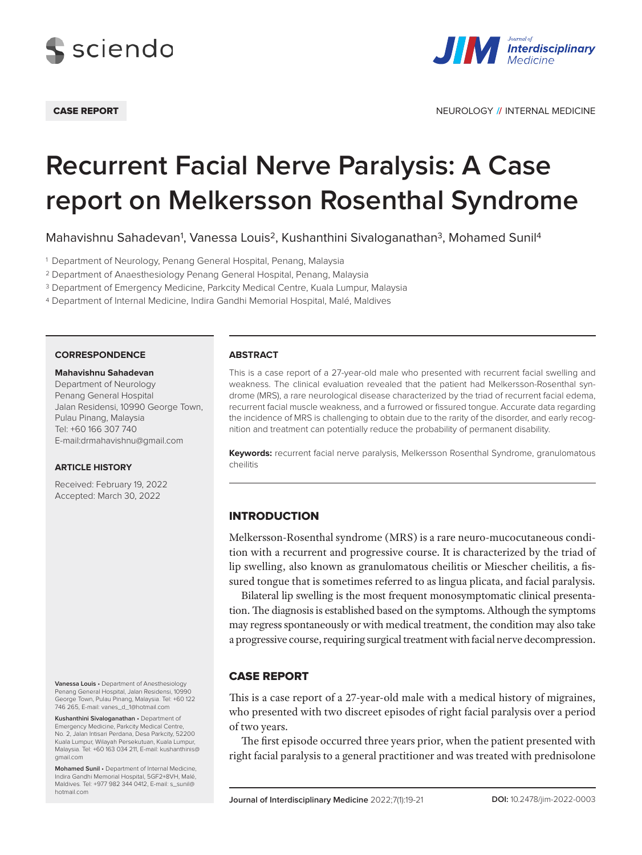



CASE REPORT NEUROLOGY **//** INTERNAL MEDICINE

# **Recurrent Facial Nerve Paralysis: A Case report on Melkersson Rosenthal Syndrome**

Mahavishnu Sahadevan<sup>1</sup>, Vanessa Louis<sup>2</sup>, Kushanthini Sivaloganathan<sup>3</sup>, Mohamed Sunil<sup>4</sup>

<sup>1</sup> Department of Neurology, Penang General Hospital, Penang, Malaysia

<sup>2</sup> Department of Anaesthesiology Penang General Hospital, Penang, Malaysia

<sup>3</sup> Department of Emergency Medicine, Parkcity Medical Centre, Kuala Lumpur, Malaysia

<sup>4</sup> Department of Internal Medicine, Indira Gandhi Memorial Hospital, Malé, Maldives

#### **CORRESPONDENCE**

#### **Mahavishnu Sahadevan**

Department of Neurology Penang General Hospital Jalan Residensi, 10990 George Town, Pulau Pinang, Malaysia Tel: +60 166 307 740 E-mail:drmahavishnu@gmail.com

## **ARTICLE HISTORY**

Received: February 19, 2022 Accepted: March 30, 2022

**Vanessa Louis** • Department of Anesthesiology Penang General Hospital, Jalan Residensi, 10990 George Town, Pulau Pinang, Malaysia. Tel: +60 122 746 265, E-mail: vanes\_d\_1@hotmail.com

**Kushanthini Sivaloganathan** • Department of Emergency Medicine, Parkcity Medical Centre, No. 2, Jalan Intisari Perdana, Desa Parkcity, 52200 Kuala Lumpur, Wilayah Persekutuan, Kuala Lumpur, Malaysia. Tel: +60 163 034 211, E-mail: kushanthinis@ gmail.com

**Mohamed Sunil** • Department of Internal Medicine, Indira Gandhi Memorial Hospital, 5GF2+8VH, Malé, Maldives. Tel: +977 982 344 0412, E-mail: s\_sunil@ hotmail.com

### **ABSTRACT**

This is a case report of a 27-year-old male who presented with recurrent facial swelling and weakness. The clinical evaluation revealed that the patient had Melkersson-Rosenthal syndrome (MRS), a rare neurological disease characterized by the triad of recurrent facial edema, recurrent facial muscle weakness, and a furrowed or fissured tongue. Accurate data regarding the incidence of MRS is challenging to obtain due to the rarity of the disorder, and early recognition and treatment can potentially reduce the probability of permanent disability.

**Keywords:** recurrent facial nerve paralysis, Melkersson Rosenthal Syndrome, granulomatous cheilitis

# **INTRODUCTION**

Melkersson-Rosenthal syndrome (MRS) is a rare neuro-mucocutaneous condition with a recurrent and progressive course. It is characterized by the triad of lip swelling, also known as granulomatous cheilitis or Miescher cheilitis, a fissured tongue that is sometimes referred to as lingua plicata, and facial paralysis.

Bilateral lip swelling is the most frequent monosymptomatic clinical presentation. The diagnosis is established based on the symptoms. Although the symptoms may regress spontaneously or with medical treatment, the condition may also take a progressive course, requiring surgical treatment with facial nerve decompression.

# Case report

This is a case report of a 27-year-old male with a medical history of migraines, who presented with two discreet episodes of right facial paralysis over a period of two years.

The first episode occurred three years prior, when the patient presented with right facial paralysis to a general practitioner and was treated with prednisolone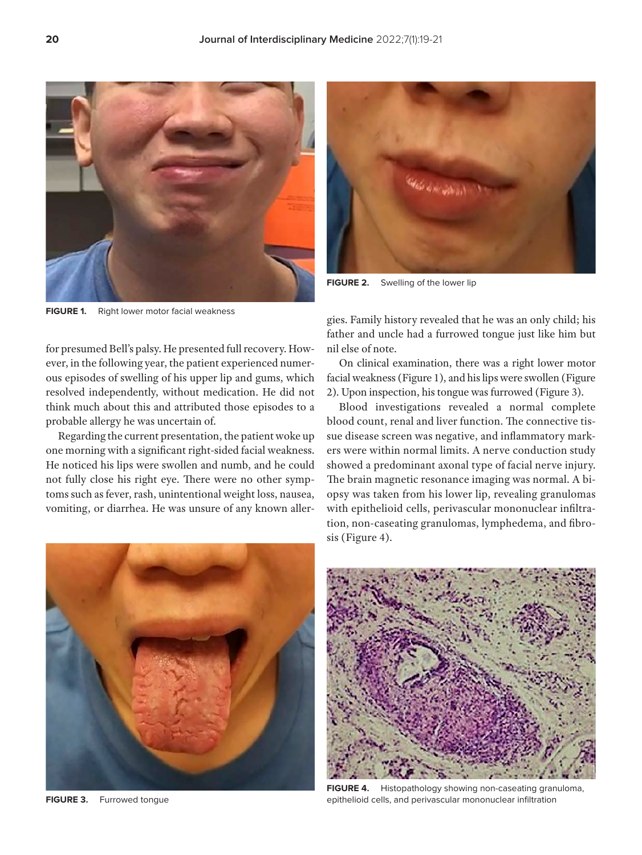

**FIGURE 1.** Right lower motor facial weakness

for presumed Bell's palsy. He presented full recovery. However, in the following year, the patient experienced numerous episodes of swelling of his upper lip and gums, which resolved independently, without medication. He did not think much about this and attributed those episodes to a probable allergy he was uncertain of.

Regarding the current presentation, the patient woke up one morning with a significant right-sided facial weakness. He noticed his lips were swollen and numb, and he could not fully close his right eye. There were no other symptoms such as fever, rash, unintentional weight loss, nausea, vomiting, or diarrhea. He was unsure of any known aller-



**FIGURE 2.** Swelling of the lower lip

gies. Family history revealed that he was an only child; his father and uncle had a furrowed tongue just like him but nil else of note.

On clinical examination, there was a right lower motor facial weakness (Figure 1), and his lips were swollen (Figure 2). Upon inspection, his tongue was furrowed (Figure 3).

Blood investigations revealed a normal complete blood count, renal and liver function. The connective tissue disease screen was negative, and inflammatory markers were within normal limits. A nerve conduction study showed a predominant axonal type of facial nerve injury. The brain magnetic resonance imaging was normal. A biopsy was taken from his lower lip, revealing granulomas with epithelioid cells, perivascular mononuclear infiltration, non-caseating granulomas, lymphedema, and fibrosis (Figure 4).



**FIGURE 3.** Furrowed tongue



**FIGURE 4.** Histopathology showing non-caseating granuloma, epithelioid cells, and perivascular mononuclear infiltration